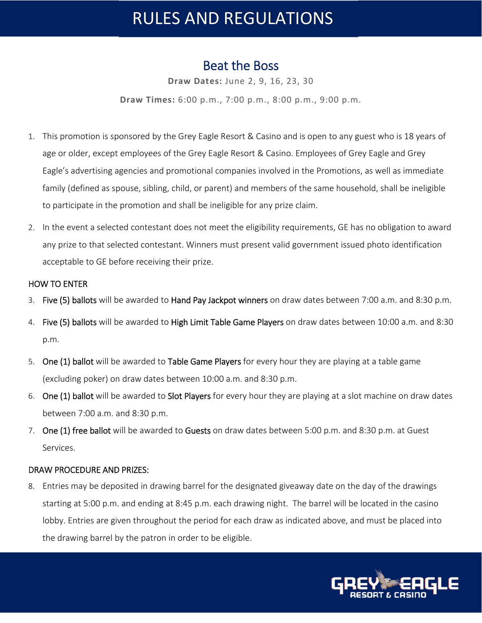# RULES AND REGULATIONS

### Beat the Boss

**Draw Dates:** June 2, 9, 16, 23, 30

**Draw Times:** 6:00 p.m., 7:00 p.m., 8:00 p.m., 9:00 p.m.

- 1. This promotion is sponsored by the Grey Eagle Resort & Casino and is open to any guest who is 18 years of age or older, except employees of the Grey Eagle Resort & Casino. Employees of Grey Eagle and Grey Eagle's advertising agencies and promotional companies involved in the Promotions, as well as immediate family (defined as spouse, sibling, child, or parent) and members of the same household, shall be ineligible to participate in the promotion and shall be ineligible for any prize claim.
- 2. In the event a selected contestant does not meet the eligibility requirements, GE has no obligation to award any prize to that selected contestant. Winners must present valid government issued photo identification acceptable to GE before receiving their prize.

### HOW TO ENTER

- 3. Five (5) ballots will be awarded to Hand Pay Jackpot winners on draw dates between 7:00 a.m. and 8:30 p.m.
- 4. Five (5) ballots will be awarded to High Limit Table Game Players on draw dates between 10:00 a.m. and 8:30 p.m.
- 5. One (1) ballot will be awarded to Table Game Players for every hour they are playing at a table game (excluding poker) on draw dates between 10:00 a.m. and 8:30 p.m.
- 6. One (1) ballot will be awarded to Slot Players for every hour they are playing at a slot machine on draw dates between 7:00 a.m. and 8:30 p.m.
- 7. One (1) free ballot will be awarded to Guests on draw dates between 5:00 p.m. and 8:30 p.m. at Guest Services.

### DRAW PROCEDURE AND PRIZES:

8. Entries may be deposited in drawing barrel for the designated giveaway date on the day of the drawings starting at 5:00 p.m. and ending at 8:45 p.m. each drawing night. The barrel will be located in the casino lobby. Entries are given throughout the period for each draw as indicated above, and must be placed into the drawing barrel by the patron in order to be eligible.

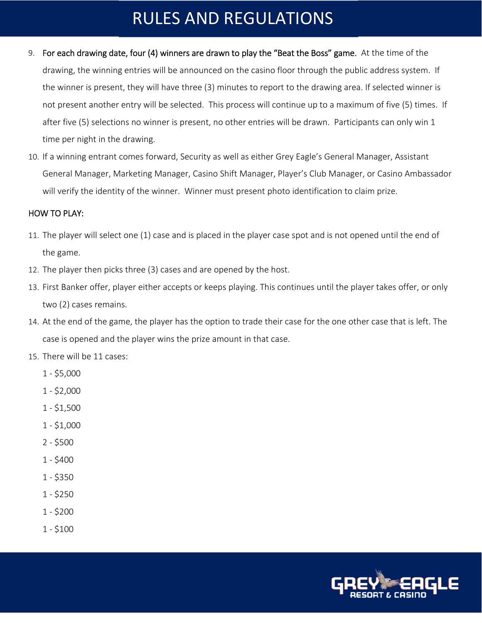## RULES AND REGULATIONS

- 9. For each drawing date, four (4) winners are drawn to play the "Beat the Boss" game. At the time of the drawing, the winning entries will be announced on the casino floor through the public address system. If the winner is present, they will have three (3) minutes to report to the drawing area. If selected winner is not present another entry will be selected. This process will continue up to a maximum of five (5) times. If after five (5) selections no winner is present, no other entries will be drawn. Participants can only win 1 time per night in the drawing.
- 10. If a winning entrant comes forward, Security as well as either Grey Eagle's General Manager, Assistant General Manager, Marketing Manager, Casino Shift Manager, Player's Club Manager, or Casino Ambassador will verify the identity of the winner. Winner must present photo identification to claim prize.

### HOW TO PLAY:

- 11. The player will select one (1) case and is placed in the player case spot and is not opened until the end of the game.
- 12. The player then picks three (3) cases and are opened by the host.
- 13. First Banker offer, player either accepts or keeps playing. This continues until the player takes offer, or only two (2) cases remains.
- 14. At the end of the game, the player has the option to trade their case for the one other case that is left. The case is opened and the player wins the prize amount in that case.
- 15. There will be 11 cases:
	- 1 \$5,000
	- 1 \$2,000
	- 1 \$1,500
	- 1 \$1,000
	- 2 \$500
	- 1 \$400
	- 1 \$350
	- 1 \$250
	- 1 \$200
	- 1 \$100